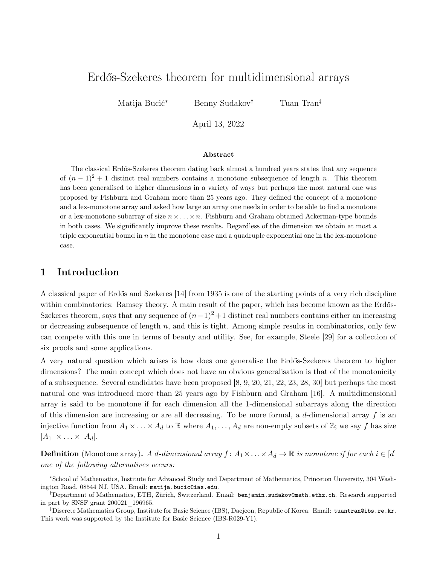# Erdős-Szekeres theorem for multidimensional arrays

Matija Bucić<sup>∗</sup> Benny Sudakov† Tuan Tran‡

April 13, 2022

#### Abstract

The classical Erdős-Szekeres theorem dating back almost a hundred years states that any sequence of  $(n-1)^2+1$  distinct real numbers contains a monotone subsequence of length n. This theorem has been generalised to higher dimensions in a variety of ways but perhaps the most natural one was proposed by Fishburn and Graham more than 25 years ago. They defined the concept of a monotone and a lex-monotone array and asked how large an array one needs in order to be able to find a monotone or a lex-monotone subarray of size  $n \times \ldots \times n$ . Fishburn and Graham obtained Ackerman-type bounds in both cases. We significantly improve these results. Regardless of the dimension we obtain at most a triple exponential bound in  $n$  in the monotone case and a quadruple exponential one in the lex-monotone case.

## 1 Introduction

A classical paper of Erdős and Szekeres [\[14\]](#page-16-0) from 1935 is one of the starting points of a very rich discipline within combinatorics: Ramsey theory. A main result of the paper, which has become known as the Erdős-Szekeres theorem, says that any sequence of  $(n-1)^2+1$  distinct real numbers contains either an increasing or decreasing subsequence of length  $n$ , and this is tight. Among simple results in combinatorics, only few can compete with this one in terms of beauty and utility. See, for example, Steele [\[29\]](#page-17-0) for a collection of six proofs and some applications.

A very natural question which arises is how does one generalise the Erdős-Szekeres theorem to higher dimensions? The main concept which does not have an obvious generalisation is that of the monotonicity of a subsequence. Several candidates have been proposed [\[8,](#page-16-1) [9,](#page-16-2) [20,](#page-17-1) [21,](#page-17-2) [22,](#page-17-3) [23,](#page-17-4) [28,](#page-17-5) [30\]](#page-17-6) but perhaps the most natural one was introduced more than 25 years ago by Fishburn and Graham [\[16\]](#page-17-7). A multidimensional array is said to be monotone if for each dimension all the 1-dimensional subarrays along the direction of this dimension are increasing or are all decreasing. To be more formal, a d-dimensional array f is an injective function from  $A_1 \times \ldots \times A_d$  to R where  $A_1, \ldots, A_d$  are non-empty subsets of Z; we say f has size  $|A_1| \times \ldots \times |A_d|$ .

**Definition** (Monotone array). A d-dimensional array  $f: A_1 \times \ldots \times A_d \to \mathbb{R}$  is monotone if for each  $i \in [d]$ one of the following alternatives occurs:

<sup>∗</sup>School of Mathematics, Institute for Advanced Study and Department of Mathematics, Princeton University, 304 Washington Road, 08544 NJ, USA. Email: [matija.bucic@ias.edu](mailto:matija.bucic@ias.edu).

<sup>†</sup>Department of Mathematics, ETH, Zürich, Switzerland. Email: [benjamin.sudakov@math.ethz.ch](mailto:benjamin.sudakov@math.ethz.ch). Research supported in part by SNSF grant 200021\_196965.

<sup>‡</sup>Discrete Mathematics Group, Institute for Basic Science (IBS), Daejeon, Republic of Korea. Email: [tuantran@ibs.re.kr](mailto:tuantran@ibs.re.kr). This work was supported by the Institute for Basic Science (IBS-R029-Y1).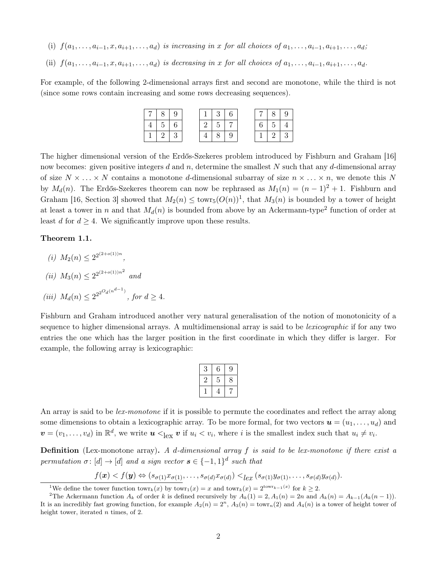- (i)  $f(a_1, \ldots, a_{i-1}, x, a_{i+1}, \ldots, a_d)$  is increasing in x for all choices of  $a_1, \ldots, a_{i-1}, a_{i+1}, \ldots, a_d$ ;
- (ii)  $f(a_1, \ldots, a_{i-1}, x, a_{i+1}, \ldots, a_d)$  is decreasing in x for all choices of  $a_1, \ldots, a_{i-1}, a_{i+1}, \ldots, a_d$ .

For example, of the following 2-dimensional arrays first and second are monotone, while the third is not (since some rows contain increasing and some rows decreasing sequences).

|  |  |  | 3 <sup>1</sup> |   |  | 8              |  |
|--|--|--|----------------|---|--|----------------|--|
|  |  |  | $5-1$          |   |  | 5 <sup>5</sup> |  |
|  |  |  |                | Y |  |                |  |

The higher dimensional version of the Erdős-Szekeres problem introduced by Fishburn and Graham [\[16\]](#page-17-7) now becomes: given positive integers d and n, determine the smallest N such that any d-dimensional array of size  $N \times \ldots \times N$  contains a monotone d-dimensional subarray of size  $n \times \ldots \times n$ , we denote this N by  $M_d(n)$ . The Erdős-Szekeres theorem can now be rephrased as  $M_1(n) = (n-1)^2 + 1$ . Fishburn and Graham [\[16,](#page-17-7) Section 3] showed that  $M_2(n) \leq \text{towr}_5(O(n))^1$  $M_2(n) \leq \text{towr}_5(O(n))^1$ , that  $M_3(n)$  is bounded by a tower of height at least a tower in n and that  $M_d(n)$  is bounded from above by an Ackermann-type<sup>[2](#page-1-1)</sup> function of order at least d for  $d \geq 4$ . We significantly improve upon these results.

<span id="page-1-2"></span>Theorem 1.1.

<span id="page-1-5"></span><span id="page-1-3"></span>(i)  $M_2(n) \leq 2^{2^{(2+o(1))n}}$ , (*ii*)  $M_3(n) \leq 2^{2^{(2+o(1))n^2}}$  and (iii)  $M_d(n) \leq 2^{2^{2^{O_d(n^{d-1})}}}$ , for  $d \geq 4$ .

<span id="page-1-4"></span>Fishburn and Graham introduced another very natural generalisation of the notion of monotonicity of a sequence to higher dimensional arrays. A multidimensional array is said to be *lexicographic* if for any two entries the one which has the larger position in the first coordinate in which they differ is larger. For example, the following array is lexicographic:

| З            | 6 | 9 |
|--------------|---|---|
| $\mathbf{z}$ | 5 | 8 |
|              | 4 |   |

An array is said to be *lex-monotone* if it is possible to permute the coordinates and reflect the array along some dimensions to obtain a lexicographic array. To be more formal, for two vectors  $\mathbf{u} = (u_1, \ldots, u_d)$  and  $\mathbf{v}=(v_1,\ldots,v_d)$  in  $\mathbb{R}^d$ , we write  $\mathbf{u} < \mathcal{C}_{\text{lex}} \mathbf{v}$  if  $u_i < v_i$ , where i is the smallest index such that  $u_i \neq v_i$ .

**Definition** (Lex-monotone array). A d-dimensional array  $f$  is said to be lex-monotone if there exist a permutation  $\sigma: [d] \to [d]$  and a sign vector  $s \in \{-1,1\}^d$  such that

$$
f(\boldsymbol{x}) < f(\boldsymbol{y}) \Leftrightarrow (s_{\sigma(1)}x_{\sigma(1)},\ldots,s_{\sigma(d)}x_{\sigma(d)}) <_{lex} (s_{\sigma(1)}y_{\sigma(1)},\ldots,s_{\sigma(d)}y_{\sigma(d)}).
$$

<span id="page-1-1"></span><span id="page-1-0"></span><sup>&</sup>lt;sup>1</sup>We define the tower function  $\tan(x)$  by  $\tan(x) = x$  and  $\tan(x) = 2^{\arctan(x)}$  for  $k \ge 2$ .

<sup>&</sup>lt;sup>2</sup>The Ackermann function  $A_k$  of order k is defined recursively by  $A_k(1) = 2$ ,  $A_1(n) = 2n$  and  $A_k(n) = A_{k-1}(A_k(n-1))$ . It is an incredibly fast growing function, for example  $A_2(n) = 2^n$ ,  $A_3(n) = \text{tow}_n(2)$  and  $A_4(n)$  is a tower of height tower of height tower, iterated *n* times, of 2.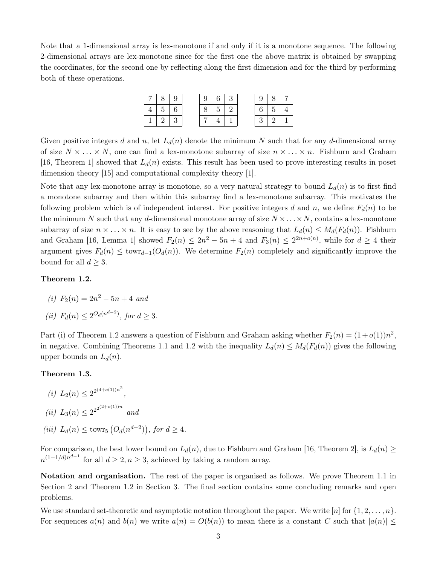Note that a 1-dimensional array is lex-monotone if and only if it is a monotone sequence. The following 2-dimensional arrays are lex-monotone since for the first one the above matrix is obtained by swapping the coordinates, for the second one by reflecting along the first dimension and for the third by performing both of these operations.

|  |            | -9                |  |            | $\vert 3 \vert$ | $\mathcal{I}$ | 8 <sup>1</sup> |  |
|--|------------|-------------------|--|------------|-----------------|---------------|----------------|--|
|  | $5 \mid 6$ |                   |  | $5 \mid 2$ |                 |               | 5 <sup>5</sup> |  |
|  |            | $\mathbf{\Omega}$ |  |            |                 |               |                |  |

Given positive integers d and n, let  $L_d(n)$  denote the minimum N such that for any d-dimensional array of size  $N \times \ldots \times N$ , one can find a lex-monotone subarray of size  $n \times \ldots \times n$ . Fishburn and Graham [\[16,](#page-17-7) Theorem 1] showed that  $L_d(n)$  exists. This result has been used to prove interesting results in poset dimension theory [\[15\]](#page-16-3) and computational complexity theory [\[1\]](#page-16-4).

Note that any lex-monotone array is monotone, so a very natural strategy to bound  $L_d(n)$  is to first find a monotone subarray and then within this subarray find a lex-monotone subarray. This motivates the following problem which is of independent interest. For positive integers d and n, we define  $F_d(n)$  to be the minimum N such that any d-dimensional monotone array of size  $N \times \ldots \times N$ , contains a lex-monotone subarray of size  $n \times ... \times n$ . It is easy to see by the above reasoning that  $L_d(n) \leq M_d(F_d(n))$ . Fishburn and Graham [\[16,](#page-17-7) Lemma 1] showed  $F_2(n) \leq 2n^2 - 5n + 4$  and  $F_3(n) \leq 2^{2n+o(n)}$ , while for  $d \geq 4$  their argument gives  $F_d(n) \leq \text{towr}_{d-1}(O_d(n))$ . We determine  $F_2(n)$  completely and significantly improve the bound for all  $d \geq 3$ .

#### <span id="page-2-0"></span>Theorem 1.2.

- (i)  $F_2(n) = 2n^2 5n + 4$  and
- (*ii*)  $F_d(n) \le 2^{O_d(n^{d-2})}$ , for  $d \ge 3$ .

Part (i) of Theorem [1.2](#page-2-0) answers a question of Fishburn and Graham asking whether  $F_2(n) = (1+o(1))n^2$ , in negative. Combining Theorems [1.1](#page-1-2) and [1.2](#page-2-0) with the inequality  $L_d(n) \leq M_d(F_d(n))$  gives the following upper bounds on  $L_d(n)$ .

#### <span id="page-2-1"></span>Theorem 1.3.

- (i)  $L_2(n) \leq 2^{2^{(4+o(1))n^2}}$ , (ii)  $L_3(n) \leq 2^{2^{(2+o(1))n}}$  and
- (iii)  $L_d(n) \leq \text{towr}_5\left(O_d(n^{d-2})\right)$ , for  $d \geq 4$ .

For comparison, the best lower bound on  $L_d(n)$ , due to Fishburn and Graham [\[16,](#page-17-7) Theorem 2], is  $L_d(n) \geq$  $n^{(1-1/d)n^{d-1}}$  for all  $d \geq 2, n \geq 3$ , achieved by taking a random array.

Notation and organisation. The rest of the paper is organised as follows. We prove Theorem [1.1](#page-1-2) in Section [2](#page-3-0) and Theorem [1.2](#page-2-0) in Section [3.](#page-6-0) The final section contains some concluding remarks and open problems.

We use standard set-theoretic and asymptotic notation throughout the paper. We write  $[n]$  for  $\{1, 2, \ldots, n\}$ . For sequences  $a(n)$  and  $b(n)$  we write  $a(n) = O(b(n))$  to mean there is a constant C such that  $|a(n)| \leq$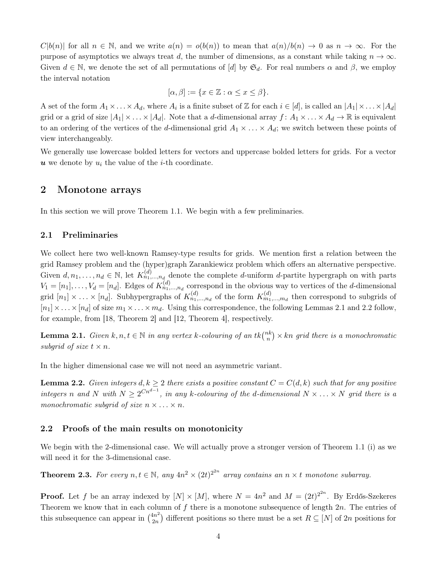$C|b(n)|$  for all  $n \in \mathbb{N}$ , and we write  $a(n) = o(b(n))$  to mean that  $a(n)/b(n) \to 0$  as  $n \to \infty$ . For the purpose of asymptotics we always treat d, the number of dimensions, as a constant while taking  $n \to \infty$ . Given  $d \in \mathbb{N}$ , we denote the set of all permutations of [d] by  $\mathfrak{S}_d$ . For real numbers  $\alpha$  and  $\beta$ , we employ the interval notation

$$
[\alpha, \beta] := \{ x \in \mathbb{Z} : \alpha \le x \le \beta \}.
$$

A set of the form  $A_1 \times \ldots \times A_d$ , where  $A_i$  is a finite subset of Z for each  $i \in [d]$ , is called an  $|A_1| \times \ldots \times |A_d|$ grid or a grid of size  $|A_1| \times \ldots \times |A_d|$ . Note that a *d*-dimensional array  $f: A_1 \times \ldots \times A_d \to \mathbb{R}$  is equivalent to an ordering of the vertices of the d-dimensional grid  $A_1 \times \ldots \times A_d$ ; we switch between these points of view interchangeably.

We generally use lowercase bolded letters for vectors and uppercase bolded letters for grids. For a vector  $u$  we denote by  $u_i$  the value of the *i*-th coordinate.

## <span id="page-3-0"></span>2 Monotone arrays

In this section we will prove Theorem [1.1.](#page-1-2) We begin with a few preliminaries.

#### 2.1 Preliminaries

We collect here two well-known Ramsey-type results for grids. We mention first a relation between the grid Ramsey problem and the (hyper)graph Zarankiewicz problem which offers an alternative perspective. Given  $d, n_1, \ldots, n_d \in \mathbb{N}$ , let  $K_{n_1,\ldots,n_d}^{(d)}$  denote the complete d-uniform d-partite hypergraph on with parts  $V_1 = [n_1], \ldots, V_d = [n_d]$ . Edges of  $K_{n_1,\ldots,n_d}^{(d)}$  correspond in the obvious way to vertices of the d-dimensional grid  $[n_1] \times \ldots \times [n_d]$ . Subhypergraphs of  $K_{n_1,\ldots,n_d}^{(d)}$  of the form  $K_{m_1,\ldots,m_d}^{(d)}$  then correspond to subgrids of  $[n_1] \times \ldots \times [n_d]$  of size  $m_1 \times \ldots \times m_d$ . Using this correspondence, the following Lemmas [2.1](#page-3-1) and [2.2](#page-3-2) follow, for example, from [\[18,](#page-17-8) Theorem 2] and [\[12,](#page-16-5) Theorem 4], respectively.

<span id="page-3-1"></span>**Lemma 2.1.** Given  $k, n, t \in \mathbb{N}$  in any vertex k-colouring of an  $tk\binom{nk}{n}$  $\binom{n}{n}$   $\times$  kn grid there is a monochromatic subgrid of size  $t \times n$ .

<span id="page-3-2"></span>In the higher dimensional case we will not need an asymmetric variant.

**Lemma 2.2.** Given integers  $d, k \geq 2$  there exists a positive constant  $C = C(d, k)$  such that for any positive integers n and N with  $N \geq 2^{Cn^{d-1}}$ , in any k-colouring of the d-dimensional  $N \times \ldots \times N$  grid there is a monochromatic subgrid of size  $n \times ... \times n$ .

#### 2.2 Proofs of the main results on monotonicity

We begin with the 2-dimensional case. We will actually prove a stronger version of Theorem [1.1](#page-1-2) [\(i\)](#page-1-3) as we will need it for the 3-dimensional case.

<span id="page-3-3"></span>**Theorem 2.3.** For every  $n, t \in \mathbb{N}$ , any  $4n^2 \times (2t)^{2^{2n}}$  array contains an  $n \times t$  monotone subarray.

**Proof.** Let f be an array indexed by  $[N] \times [M]$ , where  $N = 4n^2$  and  $M = (2t)^{2^{2n}}$ . By Erdős-Szekeres Theorem we know that in each column of  $f$  there is a monotone subsequence of length  $2n$ . The entries of this subsequence can appear in  $\binom{4n^2}{2n}$  $\binom{2n}{2n}$  different positions so there must be a set  $R \subseteq [N]$  of  $2n$  positions for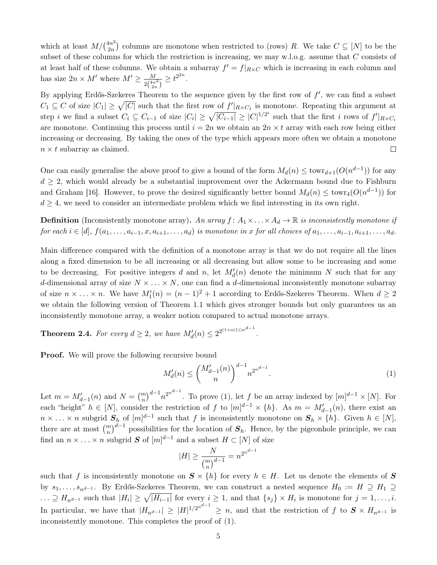which at least  $M/\binom{4n^2}{2n}$  $\binom{2n}{2n}$  columns are monotone when restricted to (rows) R. We take  $C \subseteq [N]$  to be the subset of these columns for which the restriction is increasing, we may w.l.o.g. assume that C consists of at least half of these columns. We obtain a subarray  $f' = f|_{R \times C}$  which is increasing in each column and has size  $2n \times M'$  where  $M' \geq \frac{M}{\sigma^{(4n)}}$  $\frac{M}{2\binom{4n^2}{2n}} \geq t^{2^{2n}}.$ 

By applying Erdős-Szekeres Theorem to the sequence given by the first row of  $f'$ , we can find a subset  $C_1 \subseteq C$  of size  $|C_1| \geq \sqrt{|C|}$  such that the first row of  $f'|_{R \times C_1}$  is monotone. Repeating this argument at step *i* we find a subset  $C_i \subseteq C_{i-1}$  of size  $|C_i| \geq \sqrt{|C_{i-1}|} \geq |C|^{1/2^i}$  such that the first *i* rows of  $f'|_{R \times C_i}$ are monotone. Continuing this process until  $i = 2n$  we obtain an  $2n \times t$  array with each row being either increasing or decreasing. By taking the ones of the type which appears more often we obtain a monotone  $n \times t$  subarray as claimed.  $\Box$ 

One can easily generalise the above proof to give a bound of the form  $M_d(n) \leq \text{towr}_{d+1}(O(n^{d-1}))$  for any  $d \geq 2$ , which would already be a substantial improvement over the Ackermann bound due to Fishburn and Graham [\[16\]](#page-17-7). However, to prove the desired significantly better bound  $M_d(n) \leq \text{towr}_4(O(n^{d-1}))$  for  $d \geq 4$ , we need to consider an intermediate problem which we find interesting in its own right.

**Definition** (Inconsistently monotone array). An array  $f: A_1 \times \ldots \times A_d \to \mathbb{R}$  is inconsistently monotone if for each  $i \in [d], f(a_1, \ldots, a_{i-1}, x, a_{i+1}, \ldots, a_d)$  is monotone in x for all choices of  $a_1, \ldots, a_{i-1}, a_{i+1}, \ldots, a_d$ .

Main difference compared with the definition of a monotone array is that we do not require all the lines along a fixed dimension to be all increasing or all decreasing but allow some to be increasing and some to be decreasing. For positive integers d and n, let  $M'_d(n)$  denote the minimum N such that for any d-dimensional array of size  $N \times \ldots \times N$ , one can find a d-dimensional inconsistently monotone subarray of size  $n \times ... \times n$ . We have  $M'_1(n) = (n-1)^2 + 1$  according to Erdős-Szekeres Theorem. When  $d \geq 2$ we obtain the following version of Theorem [1.1](#page-1-2) which gives stronger bounds but only guarantees us an inconsistently monotone array, a weaker notion compared to actual monotone arrays.

<span id="page-4-1"></span>**Theorem 2.4.** For every  $d \geq 2$ , we have  $M'_d(n) \leq 2^{2^{(1+o(1))n^{d-1}}}$ .

**Proof.** We will prove the following recursive bound

<span id="page-4-0"></span>
$$
M'_d(n) \le \binom{M'_{d-1}(n)}{n}^{d-1} n^{2^{n^{d-1}}}.
$$
\n(1)

Let  $m = M'_{d-1}(n)$  and  $N = {m \choose n}^{d-1} n^{2^{n^{d-1}}}$ . To prove [\(1\)](#page-4-0), let f be an array indexed by  $[m]^{d-1} \times [N]$ . For each "height"  $h \in [N]$ , consider the restriction of f to  $[m]^{d-1} \times \{h\}$ . As  $m = M'_{d-1}(n)$ , there exist an  $n \times \ldots \times n$  subgrid  $S_h$  of  $[m]^{d-1}$  such that f is inconsistently monotone on  $S_h \times \{h\}$ . Given  $h \in [N]$ , there are at most  $\binom{m}{n}^{d-1}$  possibilities for the location of  $S_h$ . Hence, by the pigeonhole principle, we can find an  $n \times \ldots \times n$  subgrid S of  $[m]^{d-1}$  and a subset  $H \subset [N]$  of size

$$
|H| \ge \frac{N}{\binom{m}{n}^{d-1}} = n^{2^{n^{d-1}}}
$$

such that f is inconsistently monotone on  $S \times \{h\}$  for every  $h \in H$ . Let us denote the elements of S by  $s_1, \ldots, s_{n^{d-1}}$ . By Erdős-Szekeres Theorem, we can construct a nested sequence  $H_0 := H \supseteq H_1 \supseteq$  $\ldots \supseteq H_{n^{d-1}}$  such that  $|H_i| \geq \sqrt{|H_{i-1}|}$  for every  $i \geq 1$ , and that  $\{s_j\} \times H_i$  is monotone for  $j = 1, \ldots, i$ . In particular, we have that  $|H_{n^{d-1}}| \geq |H|^{1/2^{n^{d-1}}} \geq n$ , and that the restriction of f to  $S \times H_{n^{d-1}}$  is inconsistently monotone. This completes the proof of [\(1\)](#page-4-0).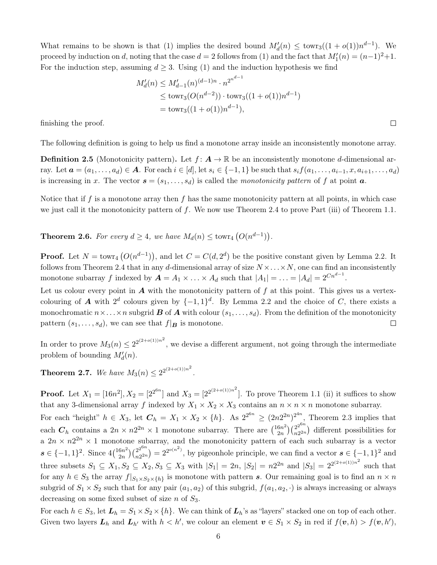What remains to be shown is that [\(1\)](#page-4-0) implies the desired bound  $M'_d(n) \leq \text{towr}_3((1+o(1))n^{d-1})$ . We proceed by induction on d, noting that the case  $d = 2$  follows from [\(1\)](#page-4-0) and the fact that  $M'_1(n) = (n-1)^2 + 1$ . For the induction step, assuming  $d \geq 3$ . Using [\(1\)](#page-4-0) and the induction hypothesis we find

$$
M'_d(n) \le M'_{d-1}(n)^{(d-1)n} \cdot n^{2^{n^{d-1}}}
$$
  
\n
$$
\le \text{towr}_3(O(n^{d-2})) \cdot \text{towr}_3((1+o(1))n^{d-1})
$$
  
\n
$$
= \text{towr}_3((1+o(1))n^{d-1}),
$$

finishing the proof.

The following definition is going to help us find a monotone array inside an inconsistently monotone array.

**Definition 2.5** (Monotonicity pattern). Let  $f: A \to \mathbb{R}$  be an inconsistently monotone d-dimensional array. Let  $a = (a_1, \ldots, a_d) \in A$ . For each  $i \in [d]$ , let  $s_i \in \{-1, 1\}$  be such that  $s_i f(a_1, \ldots, a_{i-1}, x, a_{i+1}, \ldots, a_d)$ is increasing in x. The vector  $\mathbf{s} = (s_1, \ldots, s_d)$  is called the monotonicity pattern of f at point  $\mathbf{a}$ .

Notice that if f is a monotone array then f has the same monotonicity pattern at all points, in which case we just call it the monotonicity pattern of  $f$ . We now use Theorem [2.4](#page-4-1) to prove Part [\(iii\)](#page-1-4) of Theorem [1.1.](#page-1-2)

<span id="page-5-1"></span>**Theorem 2.6.** For every  $d \geq 4$ , we have  $M_d(n) \leq \text{towr}_4(Q(n^{d-1}))$ .

**Proof.** Let  $N = \text{towr}_4(Q(n^{d-1}))$ , and let  $C = C(d, 2^d)$  be the positive constant given by Lemma [2.2.](#page-3-2) It follows from Theorem [2.4](#page-4-1) that in any d-dimensional array of size  $N \times ... \times N$ , one can find an inconsistently monotone subarray f indexed by  $A = A_1 \times ... \times A_d$  such that  $|A_1| = ... = |A_d| = 2^{Cn^{d-1}}$ .

Let us colour every point in  $\boldsymbol{A}$  with the monotonicity pattern of  $f$  at this point. This gives us a vertexcolouring of **A** with  $2^d$  colours given by  $\{-1,1\}^d$ . By Lemma [2.2](#page-3-2) and the choice of C, there exists a monochromatic  $n \times \ldots \times n$  subgrid **B** of **A** with colour  $(s_1, \ldots, s_d)$ . From the definition of the monotonicity pattern  $(s_1, \ldots, s_d)$ , we can see that  $f|_B$  is monotone.  $\Box$ 

In order to prove  $M_3(n) \leq 2^{2^{(2+o(1))n^2}}$ , we devise a different argument, not going through the intermediate problem of bounding  $M'_d(n)$ .

<span id="page-5-0"></span>**Theorem 2.7.** We have  $M_3(n) \leq 2^{2^{(2+o(1))n^2}}$ .

**Proof.** Let  $X_1 = [16n^2], X_2 = [2^{2^{6n}}]$  and  $X_3 = [2^{2^{(2+o(1))n^2}}]$ . To prove Theorem [1.1](#page-1-2) [\(ii\)](#page-1-5) it suffices to show that any 3-dimensional array f indexed by  $X_1 \times X_2 \times X_3$  contains an  $n \times n \times n$  monotone subarray.

For each "height"  $h \in X_3$ , let  $C_h = X_1 \times X_2 \times \{h\}$ . As  $2^{2^{6n}} \ge (2n2^{2n})^{2^{4n}}$ , Theorem [2.3](#page-3-3) implies that each  $C_h$  contains a  $2n \times n2^{2n} \times 1$  monotone subarray. There are  $\binom{16n^2}{2n}$  $\binom{6n^2}{2n}\binom{2^{2^{6n}}}{n2^{2n}}$  $\binom{2^2}{n2^{2n}}$  different possibilities for a  $2n \times n2^{2n} \times 1$  monotone subarray, and the monotonicity pattern of each such subarray is a vector  $s \in \{-1,1\}^2$ . Since  $4\binom{16n^2}{2n}$  $\binom{6n^2}{2n}\binom{2^{2^{6n}}}{n2^{2n}}$  $\binom{2^{2^{6n}}}{n^{2^{2n}}} = 2^{2^{o(n^2)}}$ , by pigeonhole principle, we can find a vector  $s \in \{-1,1\}^2$  and three subsets  $S_1 \subseteq X_1, S_2 \subseteq X_2, S_3 \subseteq X_3$  with  $|S_1| = 2n, |S_2| = n2^{2n}$  and  $|S_3| = 2^{(2+o(1))n^2}$  such that for any  $h \in S_3$  the array  $f|_{S_1 \times S_2 \times \{h\}}$  is monotone with pattern s. Our remaining goal is to find an  $n \times n$ subgrid of  $S_1 \times S_2$  such that for any pair  $(a_1, a_2)$  of this subgrid,  $f(a_1, a_2, \cdot)$  is always increasing or always decreasing on some fixed subset of size n of  $S_3$ .

For each  $h \in S_3$ , let  $L_h = S_1 \times S_2 \times \{h\}$ . We can think of  $L_h$ 's as "layers" stacked one on top of each other. Given two layers  $\mathbf{L}_h$  and  $\mathbf{L}_{h'}$  with  $h < h'$ , we colour an element  $\mathbf{v} \in S_1 \times S_2$  in red if  $f(\mathbf{v}, h) > f(\mathbf{v}, h')$ ,

 $\Box$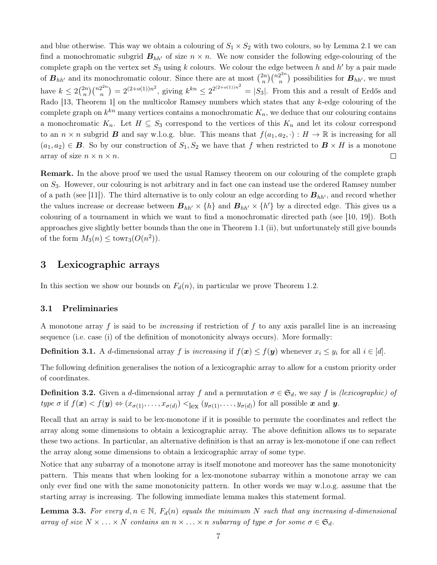and blue otherwise. This way we obtain a colouring of  $S_1 \times S_2$  with two colours, so by Lemma [2.1](#page-3-1) we can find a monochromatic subgrid  $B_{hh'}$  of size  $n \times n$ . We now consider the following edge-colouring of the complete graph on the vertex set  $S_3$  using k colours. We colour the edge between h and h' by a pair made  $\binom{2n}{n}\binom{n2^{2n}}{n}$ of  $B_{hh'}$  and its monochromatic colour. Since there are at most  $\binom{2n}{n}$  ${n^{2n} \choose n}$  possibilities for  $B_{hh'}$ , we must  $\binom{2^{2n}}{n} = 2^{(2+o(1))n^2}$ , giving  $k^{kn} \leq 2^{2^{(2+o(1))n^2}} = |S_3|$ . From this and a result of Erdős and  $\binom{2n}{n}\binom{n2^{2n}}{n}$ have  $k \leq 2\binom{2n}{n}$ Rado [\[13,](#page-16-6) Theorem 1] on the multicolor Ramsey numbers which states that any k-edge colouring of the complete graph on  $k^{kn}$  many vertices contains a monochromatic  $K_n$ , we deduce that our colouring contains a monochromatic  $K_n$ . Let  $H \subseteq S_3$  correspond to the vertices of this  $K_n$  and let its colour correspond to an  $n \times n$  subgrid **B** and say w.l.o.g. blue. This means that  $f(a_1, a_2, \cdot) : H \to \mathbb{R}$  is increasing for all  $(a_1, a_2) \in \mathbf{B}$ . So by our construction of  $S_1, S_2$  we have that f when restricted to  $\mathbf{B} \times H$  is a monotone array of size  $n \times n \times n$ .  $\Box$ 

Remark. In the above proof we used the usual Ramsey theorem on our colouring of the complete graph on S3. However, our colouring is not arbitrary and in fact one can instead use the ordered Ramsey number of a path (see [\[11\]](#page-16-7)). The third alternative is to only colour an edge according to  $B_{hh'}$ , and record whether the values increase or decrease between  $B_{hh'} \times \{h\}$  and  $B_{hh'} \times \{h'\}$  by a directed edge. This gives us a colouring of a tournament in which we want to find a monochromatic directed path (see [\[10,](#page-16-8) [19\]](#page-17-9)). Both approaches give slightly better bounds than the one in Theorem [1.1](#page-1-2) (ii), but unfortunately still give bounds of the form  $M_3(n) \leq \text{towr}_3(O(n^2)).$ 

## <span id="page-6-0"></span>3 Lexicographic arrays

In this section we show our bounds on  $F_d(n)$ , in particular we prove Theorem [1.2.](#page-2-0)

#### 3.1 Preliminaries

A monotone array f is said to be *increasing* if restriction of f to any axis parallel line is an increasing sequence (i.e. case (i) of the definition of monotonicity always occurs). More formally:

**Definition 3.1.** A d-dimensional array f is increasing if  $f(x) \leq f(y)$  whenever  $x_i \leq y_i$  for all  $i \in [d]$ .

The following definition generalises the notion of a lexicographic array to allow for a custom priority order of coordinates.

**Definition 3.2.** Given a d-dimensional array f and a permutation  $\sigma \in \mathfrak{S}_d$ , we say f is (lexicographic) of type  $\sigma$  if  $f(\mathbf{x}) < f(\mathbf{y}) \Leftrightarrow (x_{\sigma(1)},...,x_{\sigma(d)}) <_{\text{lex}} (y_{\sigma(1)},...,y_{\sigma(d)})$  for all possible  $\mathbf{x}$  and  $\mathbf{y}$ .

Recall that an array is said to be lex-monotone if it is possible to permute the coordinates and reflect the array along some dimensions to obtain a lexicographic array. The above definition allows us to separate these two actions. In particular, an alternative definition is that an array is lex-monotone if one can reflect the array along some dimensions to obtain a lexicographic array of some type.

Notice that any subarray of a monotone array is itself monotone and moreover has the same monotonicity pattern. This means that when looking for a lex-monotone subarray within a monotone array we can only ever find one with the same monotonicity pattern. In other words we may w.l.o.g. assume that the starting array is increasing. The following immediate lemma makes this statement formal.

**Lemma 3.3.** For every  $d, n \in \mathbb{N}$ ,  $F_d(n)$  equals the minimum N such that any increasing d-dimensional array of size  $N \times \ldots \times N$  contains an  $n \times \ldots \times n$  subarray of type  $\sigma$  for some  $\sigma \in \mathfrak{S}_d$ .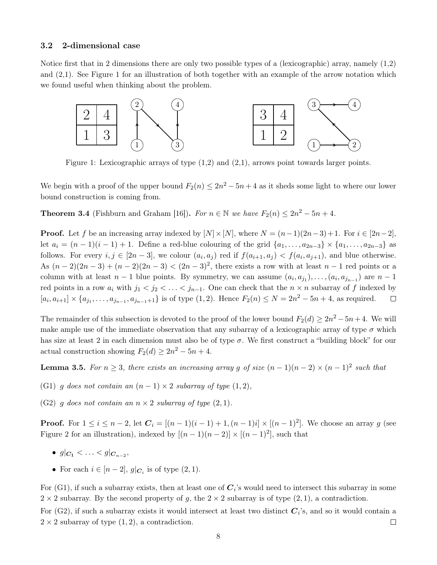#### 3.2 2-dimensional case

Notice first that in 2 dimensions there are only two possible types of a (lexicographic) array, namely (1,2) and (2,1). See Figure [1](#page-7-0) for an illustration of both together with an example of the arrow notation which we found useful when thinking about the problem.

<span id="page-7-0"></span>

Figure 1: Lexicographic arrays of type (1,2) and (2,1), arrows point towards larger points.

We begin with a proof of the upper bound  $F_2(n) \leq 2n^2 - 5n + 4$  as it sheds some light to where our lower bound construction is coming from.

<span id="page-7-2"></span>**Theorem 3.4** (Fishburn and Graham [\[16\]](#page-17-7)). For  $n \in \mathbb{N}$  we have  $F_2(n) \leq 2n^2 - 5n + 4$ .

**Proof.** Let f be an increasing array indexed by  $[N] \times [N]$ , where  $N = (n-1)(2n-3)+1$ . For  $i \in [2n-2]$ , let  $a_i = (n-1)(i-1) + 1$ . Define a red-blue colouring of the grid  $\{a_1, \ldots, a_{2n-3}\}\times \{a_1, \ldots, a_{2n-3}\}$  as follows. For every  $i, j \in [2n-3]$ , we colour  $(a_i, a_j)$  red if  $f(a_{i+1}, a_j) < f(a_i, a_{j+1})$ , and blue otherwise. As  $(n-2)(2n-3) + (n-2)(2n-3) < (2n-3)^2$ , there exists a row with at least  $n-1$  red points or a column with at least  $n-1$  blue points. By symmetry, we can assume  $(a_i, a_{j_1}), \ldots, (a_i, a_{j_{n-1}})$  are  $n-1$ red points in a row  $a_i$  with  $j_1 < j_2 < \ldots < j_{n-1}$ . One can check that the  $n \times n$  subarray of f indexed by  $[a_i, a_{i+1}] \times \{a_{j_1}, \ldots, a_{j_{n-1}}, a_{j_{n-1}+1}\}$  is of type  $(1, 2)$ . Hence  $F_2(n) \le N = 2n^2 - 5n + 4$ , as required.  $\Box$ 

The remainder of this subsection is devoted to the proof of the lower bound  $F_2(d) \geq 2n^2 - 5n + 4$ . We will make ample use of the immediate observation that any subarray of a lexicographic array of type  $\sigma$  which has size at least 2 in each dimension must also be of type  $\sigma$ . We first construct a "building block" for our actual construction showing  $F_2(d) \geq 2n^2 - 5n + 4$ .

<span id="page-7-1"></span>**Lemma 3.5.** For  $n \geq 3$ , there exists an increasing array g of size  $(n-1)(n-2) \times (n-1)^2$  such that

- (G1) q does not contain an  $(n-1) \times 2$  subarray of type  $(1, 2)$ ,
- (G2) q does not contain an  $n \times 2$  subarray of type  $(2, 1)$ .

**Proof.** For  $1 \le i \le n-2$ , let  $C_i = [(n-1)(i-1)+1,(n-1)i] \times [(n-1)^2]$ . We choose an array g (see Figure [2](#page-8-0) for an illustration), indexed by  $[(n-1)(n-2)] \times [(n-1)^2]$ , such that

- $g|_{C_1} < \ldots < g|_{C_{n-2}}$
- For each  $i \in [n-2]$ ,  $g|_{\mathbf{C}_i}$  is of type  $(2, 1)$ .

For (G1), if such a subarray exists, then at least one of  $C_i$ 's would need to intersect this subarray in some  $2 \times 2$  subarray. By the second property of g, the  $2 \times 2$  subarray is of type  $(2, 1)$ , a contradiction.

For (G2), if such a subarray exists it would intersect at least two distinct  $C_i$ 's, and so it would contain a  $2 \times 2$  subarray of type  $(1, 2)$ , a contradiction.  $\Box$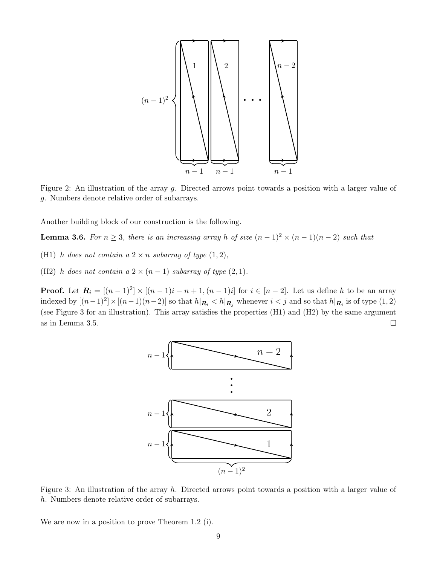<span id="page-8-0"></span>

Figure 2: An illustration of the array g. Directed arrows point towards a position with a larger value of g. Numbers denote relative order of subarrays.

Another building block of our construction is the following.

<span id="page-8-2"></span>**Lemma 3.6.** For  $n \geq 3$ , there is an increasing array h of size  $(n-1)^2 \times (n-1)(n-2)$  such that

(H1) h does not contain a  $2 \times n$  subarray of type  $(1, 2)$ ,

(H2) h does not contain a  $2 \times (n-1)$  subarray of type  $(2, 1)$ .

<span id="page-8-1"></span>**Proof.** Let  $\mathbf{R}_i = [(n-1)^2] \times [(n-1)i - n + 1, (n-1)i]$  for  $i \in [n-2]$ . Let us define h to be an array indexed by  $[(n-1)^2] \times [(n-1)(n-2)]$  so that  $h|_{\mathbf{R}_i} < h|_{\mathbf{R}_j}$  whenever  $i < j$  and so that  $h|_{\mathbf{R}_i}$  is of type  $(1, 2)$ (see Figure [3](#page-8-1) for an illustration). This array satisfies the properties (H1) and (H2) by the same argument  $\Box$ as in Lemma [3.5.](#page-7-1)



Figure 3: An illustration of the array h. Directed arrows point towards a position with a larger value of h. Numbers denote relative order of subarrays.

We are now in a position to prove Theorem [1.2](#page-2-0) (i).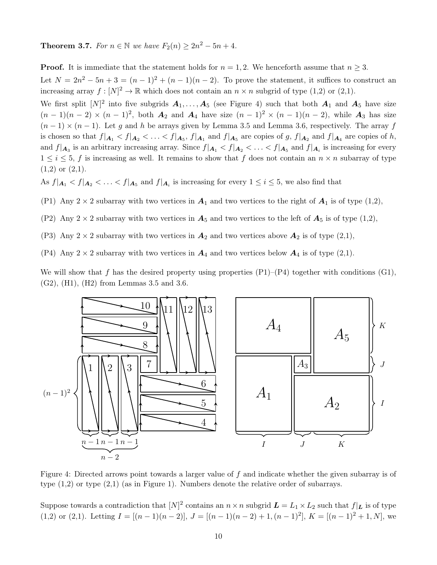**Theorem 3.7.** For  $n \in \mathbb{N}$  we have  $F_2(n) \geq 2n^2 - 5n + 4$ .

**Proof.** It is immediate that the statement holds for  $n = 1, 2$ . We henceforth assume that  $n \geq 3$ .

Let  $N = 2n^2 - 5n + 3 = (n-1)^2 + (n-1)(n-2)$ . To prove the statement, it suffices to construct an increasing array  $f: [N]^2 \to \mathbb{R}$  which does not contain an  $n \times n$  subgrid of type  $(1,2)$  or  $(2,1)$ .

We first split  $[N]^2$  into five subgrids  $A_1, \ldots, A_5$  (see Figure [4\)](#page-9-0) such that both  $A_1$  and  $A_5$  have size  $(n-1)(n-2) \times (n-1)^2$ , both  $\mathbf{A}_2$  and  $\mathbf{A}_4$  have size  $(n-1)^2 \times (n-1)(n-2)$ , while  $\mathbf{A}_3$  has size  $(n-1) \times (n-1)$ . Let g and h be arrays given by Lemma [3.5](#page-7-1) and Lemma [3.6,](#page-8-2) respectively. The array f is chosen so that  $f|_{A_1} < f|_{A_2} < \ldots < f|_{A_5}$ ,  $f|_{A_1}$  and  $f|_{A_5}$  are copies of g,  $f|_{A_2}$  and  $f|_{A_4}$  are copies of h, and  $f|_{A_3}$  is an arbitrary increasing array. Since  $f|_{A_1} < f|_{A_2} < \ldots < f|_{A_5}$  and  $f|_{A_i}$  is increasing for every  $1 \leq i \leq 5$ , f is increasing as well. It remains to show that f does not contain an  $n \times n$  subarray of type  $(1,2)$  or  $(2,1)$ .

As  $f|_{A_1} < f|_{A_2} < \ldots < f|_{A_5}$  and  $f|_{A_i}$  is increasing for every  $1 \leq i \leq 5$ , we also find that

- (P1) Any  $2 \times 2$  subarray with two vertices in  $A_1$  and two vertices to the right of  $A_1$  is of type (1,2),
- (P2) Any  $2 \times 2$  subarray with two vertices in  $A_5$  and two vertices to the left of  $A_5$  is of type (1,2),
- (P3) Any  $2 \times 2$  subarray with two vertices in  $\mathbf{A}_2$  and two vertices above  $\mathbf{A}_2$  is of type  $(2,1)$ ,
- (P4) Any  $2 \times 2$  subarray with two vertices in  $\mathbf{A}_4$  and two vertices below  $\mathbf{A}_4$  is of type (2,1).

We will show that f has the desired property using properties  $(P1)$ – $(P4)$  together with conditions  $(G1)$ , (G2), (H1), (H2) from Lemmas [3.5](#page-7-1) and [3.6.](#page-8-2)

<span id="page-9-0"></span>

Figure 4: Directed arrows point towards a larger value of f and indicate whether the given subarray is of type (1,2) or type (2,1) (as in Figure [1\)](#page-7-0). Numbers denote the relative order of subarrays.

Suppose towards a contradiction that  $[N]^2$  contains an  $n \times n$  subgrid  $\bm{L} = L_1 \times L_2$  such that  $f|_{\bm{L}}$  is of type (1,2) or (2,1). Letting  $I = [(n-1)(n-2)], J = [(n-1)(n-2) + 1, (n-1)^2], K = [(n-1)^2 + 1, N],$  we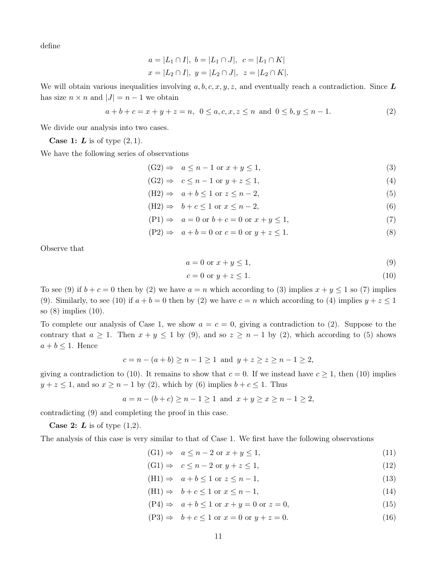define

$$
a = |L_1 \cap I|, b = |L_1 \cap J|, c = |L_1 \cap K|
$$
  
 $x = |L_2 \cap I|, y = |L_2 \cap J|, z = |L_2 \cap K|.$ 

We will obtain various inequalities involving a, b, c, x, y, z, and eventually reach a contradiction. Since  $\bm{L}$ has size  $n \times n$  and  $|J| = n - 1$  we obtain

<span id="page-10-1"></span>
$$
a+b+c = x+y+z = n, \ \ 0 \le a,c,x,z \le n \ \ \text{and} \ \ 0 \le b,y \le n-1. \tag{2}
$$

We divide our analysis into two cases.

**Case 1:**  $\boldsymbol{L}$  is of type  $(2, 1)$ .

We have the following series of observations

$$
(G2) \Rightarrow a \le n - 1 \text{ or } x + y \le 1,
$$
\n<sup>(3)</sup>

- $(G2) \Rightarrow c \leq n-1$  or  $y+z \leq 1$ , (4)
- $(H2) \Rightarrow a+b \leq 1 \text{ or } z \leq n-2,$  (5)
- $(H2) \Rightarrow b+c \leq 1 \text{ or } x \leq n-2,$  (6)
- $(P1) \Rightarrow a = 0 \text{ or } b + c = 0 \text{ or } x + y \le 1,$  (7)
- $(P2) \Rightarrow a+b=0 \text{ or } c=0 \text{ or } y+z \leq 1.$  (8)

Observe that

<span id="page-10-8"></span><span id="page-10-7"></span><span id="page-10-6"></span><span id="page-10-5"></span><span id="page-10-3"></span><span id="page-10-2"></span><span id="page-10-0"></span>
$$
a = 0 \text{ or } x + y \le 1,\tag{9}
$$

<span id="page-10-4"></span>
$$
c = 0 \text{ or } y + z \le 1. \tag{10}
$$

To see [\(9\)](#page-10-0) if  $b + c = 0$  then by [\(2\)](#page-10-1) we have  $a = n$  which according to [\(3\)](#page-10-2) implies  $x + y \le 1$  so [\(7\)](#page-10-3) implies [\(9\)](#page-10-0). Similarly, to see [\(10\)](#page-10-4) if  $a + b = 0$  then by [\(2\)](#page-10-1) we have  $c = n$  which according to [\(4\)](#page-10-5) implies  $y + z \le 1$ so [\(8\)](#page-10-6) implies [\(10\)](#page-10-4).

To complete our analysis of Case 1, we show  $a = c = 0$ , giving a contradiction to [\(2\)](#page-10-1). Suppose to the contrary that  $a \geq 1$ . Then  $x + y \leq 1$  by [\(9\)](#page-10-0), and so  $z \geq n - 1$  by [\(2\)](#page-10-1), which according to [\(5\)](#page-10-7) shows  $a + b \leq 1$ . Hence

$$
c = n - (a + b) \ge n - 1 \ge 1
$$
 and  $y + z \ge z \ge n - 1 \ge 2$ ,

giving a contradiction to [\(10\)](#page-10-4). It remains to show that  $c = 0$ . If we instead have  $c \ge 1$ , then (10) implies  $y + z \le 1$ , and so  $x \ge n - 1$  by [\(2\)](#page-10-1), which by [\(6\)](#page-10-8) implies  $b + c \le 1$ . Thus

$$
a = n - (b + c) \ge n - 1 \ge 1
$$
 and  $x + y \ge x \ge n - 1 \ge 2$ ,

contradicting [\(9\)](#page-10-0) and completing the proof in this case.

**Case 2:**  $L$  is of type  $(1,2)$ .

The analysis of this case is very similar to that of Case 1. We first have the following observations

- <span id="page-10-14"></span><span id="page-10-13"></span> $(G1) \Rightarrow a \leq n-2 \text{ or } x+y \leq 1,$  (11)
- <span id="page-10-9"></span> $(G1) \Rightarrow c \leq n-2 \text{ or } y+z \leq 1,$  (12)
- (H1)  $\Rightarrow$   $a + b \le 1$  or  $z \le n 1$ , (13)
- $(H1) \Rightarrow b+c<1 \text{ or } x \leq n-1,$  (14)
- <span id="page-10-12"></span><span id="page-10-11"></span><span id="page-10-10"></span> $(P4) \Rightarrow a + b \le 1 \text{ or } x + y = 0 \text{ or } z = 0,$  (15)
- $(P3) \Rightarrow b + c \le 1 \text{ or } x = 0 \text{ or } y + z = 0.$  (16)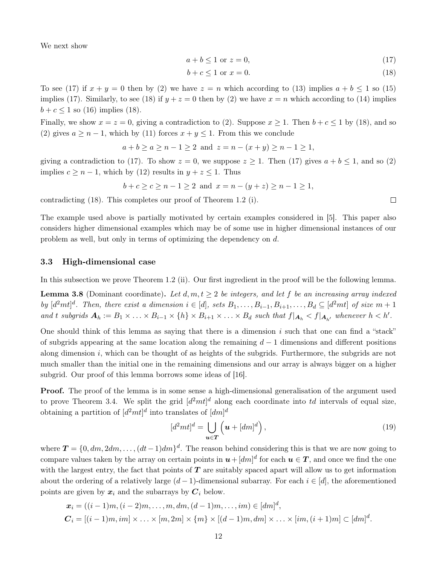We next show

$$
a + b \le 1 \text{ or } z = 0,\tag{17}
$$

$$
b + c \le 1 \text{ or } x = 0. \tag{18}
$$

To see [\(17\)](#page-11-0) if  $x + y = 0$  then by [\(2\)](#page-10-1) we have  $z = n$  which according to [\(13\)](#page-10-9) implies  $a + b \le 1$  so [\(15\)](#page-10-10) implies [\(17\)](#page-11-0). Similarly, to see [\(18\)](#page-11-1) if  $y + z = 0$  then by [\(2\)](#page-10-1) we have  $x = n$  which according to [\(14\)](#page-10-11) implies  $b + c \le 1$  so [\(16\)](#page-10-12) implies [\(18\)](#page-11-1).

Finally, we show  $x = z = 0$ , giving a contradiction to [\(2\)](#page-10-1). Suppose  $x \ge 1$ . Then  $b + c \le 1$  by [\(18\)](#page-11-1), and so [\(2\)](#page-10-1) gives  $a \geq n-1$ , which by [\(11\)](#page-10-13) forces  $x + y \leq 1$ . From this we conclude

$$
a + b \ge a \ge n - 1 \ge 2
$$
 and  $z = n - (x + y) \ge n - 1 \ge 1$ ,

giving a contradiction to [\(17\)](#page-11-0). To show  $z = 0$ , we suppose  $z \ge 1$ . Then (17) gives  $a + b \le 1$ , and so [\(2\)](#page-10-1) implies  $c \geq n-1$ , which by [\(12\)](#page-10-14) results in  $y + z \leq 1$ . Thus

$$
b + c \ge c \ge n - 1 \ge 2 \text{ and } x = n - (y + z) \ge n - 1 \ge 1,
$$

contradicting [\(18\)](#page-11-1). This completes our proof of Theorem [1.2](#page-2-0) (i).

The example used above is partially motivated by certain examples considered in [\[5\]](#page-16-9). This paper also considers higher dimensional examples which may be of some use in higher dimensional instances of our problem as well, but only in terms of optimizing the dependency on d.

#### 3.3 High-dimensional case

In this subsection we prove Theorem [1.2](#page-2-0) (ii). Our first ingredient in the proof will be the following lemma.

<span id="page-11-3"></span>**Lemma 3.8** (Dominant coordinate). Let  $d, m, t \geq 2$  be integers, and let f be an increasing array indexed by  $[d^2mt]^d$ . Then, there exist a dimension  $i \in [d]$ , sets  $B_1, \ldots, B_{i-1}, B_{i+1}, \ldots, B_d \subseteq [d^2mt]$  of size  $m+1$ and t subgrids  $A_h := B_1 \times \ldots \times B_{i-1} \times \{h\} \times B_{i+1} \times \ldots \times B_d$  such that  $f|_{A_h} < f|_{A_{h'}}$  whenever  $h < h'.$ 

One should think of this lemma as saying that there is a dimension  $i$  such that one can find a "stack" of subgrids appearing at the same location along the remaining  $d-1$  dimensions and different positions along dimension i, which can be thought of as heights of the subgrids. Furthermore, the subgrids are not much smaller than the initial one in the remaining dimensions and our array is always bigger on a higher subgrid. Our proof of this lemma borrows some ideas of [\[16\]](#page-17-7).

**Proof.** The proof of the lemma is in some sense a high-dimensional generalisation of the argument used to prove Theorem [3.4.](#page-7-2) We split the grid  $\left[d^2mt\right]^d$  along each coordinate into td intervals of equal size, obtaining a partition of  $[d^2mt]^d$  into translates of  $[dm]^d$ 

<span id="page-11-2"></span>
$$
[d^2mt]^d = \bigcup_{\mathbf{u}\in\mathbf{T}} \left(\mathbf{u} + [dm]^d\right),\tag{19}
$$

where  $T = \{0, dm, 2dm, \ldots, (dt-1)dm\}^d$ . The reason behind considering this is that we are now going to compare values taken by the array on certain points in  $u + [dm]^d$  for each  $u \in T$ , and once we find the one with the largest entry, the fact that points of  $T$  are suitably spaced apart will allow us to get information about the ordering of a relatively large  $(d-1)$ -dimensional subarray. For each  $i \in [d]$ , the aforementioned points are given by  $x_i$  and the subarrays by  $C_i$  below.

$$
\mathbf{x}_{i} = ((i-1)m, (i-2)m, \dots, m, dm, (d-1)m, \dots, im) \in [dm]^{d},
$$
  

$$
\mathbf{C}_{i} = [(i-1)m, im] \times \dots \times [m, 2m] \times \{m\} \times [(d-1)m, dm] \times \dots \times [im, (i+1)m] \subset [dm]^{d}.
$$

<span id="page-11-1"></span><span id="page-11-0"></span> $\Box$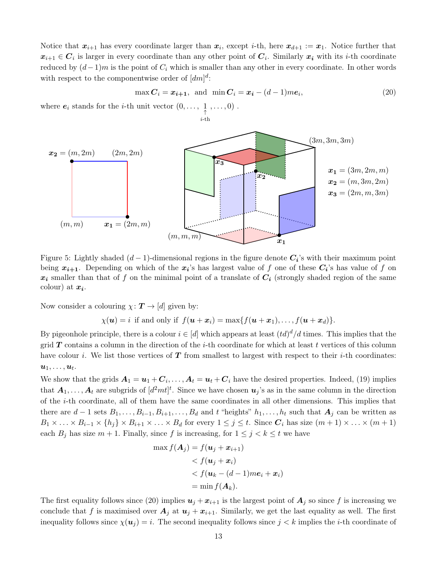Notice that  $x_{i+1}$  has every coordinate larger than  $x_i$ , except *i*-th, here  $x_{d+1} := x_1$ . Notice further that  $x_{i+1} \in C_i$  is larger in every coordinate than any other point of  $C_i$ . Similarly  $x_i$  with its *i*-th coordinate reduced by  $(d-1)m$  is the point of  $C_i$  which is smaller than any other in every coordinate. In other words with respect to the componentwise order of  $\left[dm\right]^{d}$ :

 $i$ -th

<span id="page-12-0"></span>
$$
\max \mathbf{C}_i = \mathbf{x}_{i+1}, \text{ and } \min \mathbf{C}_i = \mathbf{x}_i - (d-1) m \mathbf{e}_i,
$$
\n(20)

where  $e_i$  stands for the *i*-th unit vector  $(0, \ldots, \frac{1}{\uparrow}, \ldots, 0)$ .



Figure 5: Lightly shaded  $(d-1)$ -dimensional regions in the figure denote  $C_i$ 's with their maximum point being  $x_{i+1}$ . Depending on which of the  $x_i$ 's has largest value of f one of these  $C_i$ 's has value of f on  $x_i$  smaller than that of f on the minimal point of a translate of  $C_i$  (strongly shaded region of the same colour) at  $x_i$ .

Now consider a colouring  $\chi: \mathbf{T} \to [d]$  given by:

 $\chi(\boldsymbol{u}) = i$  if and only if  $f(\boldsymbol{u} + \boldsymbol{x}_i) = \max\{f(\boldsymbol{u} + \boldsymbol{x}_1), \dots, f(\boldsymbol{u} + \boldsymbol{x}_d)\}.$ 

By pigeonhole principle, there is a colour  $i \in [d]$  which appears at least  $(td)^d/d$  times. This implies that the grid  $T$  contains a column in the direction of the *i*-th coordinate for which at least t vertices of this column have colour i. We list those vertices of  $T$  from smallest to largest with respect to their *i*-th coordinates:  $\boldsymbol{u}_1, \dots, \boldsymbol{u}_t.$ 

We show that the grids  $A_1 = u_1 + C_i, \ldots, A_t = u_t + C_i$  have the desired properties. Indeed, [\(19\)](#page-11-2) implies that  $A_1, \ldots, A_t$  are subgrids of  $[d^2mt]^t$ . Since we have chosen  $u_j$ 's as in the same column in the direction of the i-th coordinate, all of them have the same coordinates in all other dimensions. This implies that there are  $d-1$  sets  $B_1, \ldots, B_{i-1}, B_{i+1}, \ldots, B_d$  and t "heights"  $h_1, \ldots, h_t$  such that  $A_j$  can be written as  $B_1 \times \ldots \times B_{i-1} \times \{h_j\} \times B_{i+1} \times \ldots \times B_d$  for every  $1 \leq j \leq t$ . Since  $C_i$  has size  $(m+1) \times \ldots \times (m+1)$ each  $B_j$  has size  $m + 1$ . Finally, since f is increasing, for  $1 \leq j \leq k \leq t$  we have

$$
\max f(\mathbf{A}_j) = f(\mathbf{u}_j + \mathbf{x}_{i+1})
$$
  
< 
$$
< f(\mathbf{u}_j + \mathbf{x}_i)
$$
  
< 
$$
< f(\mathbf{u}_k - (d-1)m\mathbf{e}_i + \mathbf{x}_i)
$$
  

$$
= \min f(\mathbf{A}_k).
$$

The first equality follows since [\(20\)](#page-12-0) implies  $u_j + x_{i+1}$  is the largest point of  $A_j$  so since f is increasing we conclude that f is maximised over  $A_j$  at  $u_j + x_{i+1}$ . Similarly, we get the last equality as well. The first inequality follows since  $\chi(u_i) = i$ . The second inequality follows since  $j < k$  implies the *i*-th coordinate of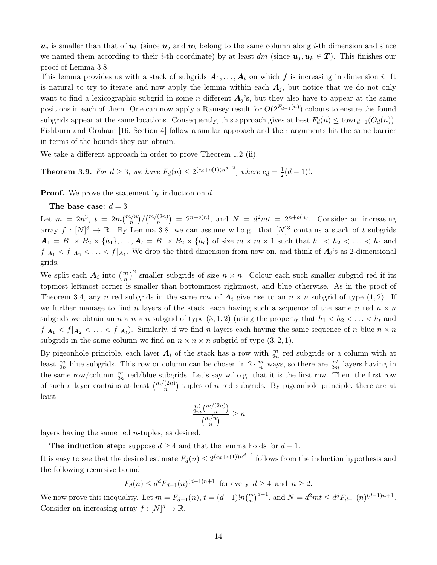$u_j$  is smaller than that of  $u_k$  (since  $u_j$  and  $u_k$  belong to the same column along *i*-th dimension and since we named them according to their *i*-th coordinate) by at least  $dm$  (since  $u_j, u_k \in T$ ). This finishes our proof of Lemma [3.8.](#page-11-3)  $\Box$ 

This lemma provides us with a stack of subgrids  $A_1, \ldots, A_t$  on which f is increasing in dimension i. It is natural to try to iterate and now apply the lemma within each  $A_j$ , but notice that we do not only want to find a lexicographic subgrid in some n different  $A_i$ 's, but they also have to appear at the same positions in each of them. One can now apply a Ramsey result for  $O(2^{F_{d-1}(n)})$  colours to ensure the found subgrids appear at the same locations. Consequently, this approach gives at best  $F_d(n) \leq \text{towr}_{d-1}(O_d(n)).$ Fishburn and Graham [\[16,](#page-17-7) Section 4] follow a similar approach and their arguments hit the same barrier in terms of the bounds they can obtain.

We take a different approach in order to prove Theorem [1.2](#page-2-0) (ii).

**Theorem 3.9.** For  $d \geq 3$ , we have  $F_d(n) \leq 2^{(c_d+o(1))n^{d-2}}$ , where  $c_d = \frac{1}{2}$  $rac{1}{2}(d-1)!$ .

**Proof.** We prove the statement by induction on d.

The base case:  $d = 3$ .

Let  $m = 2n^3$ ,  $t = 2m {m/n \choose n} / {m/(2n) \choose n} = 2^{n+o(n)}$ , and  $N = d^2mt = 2^{n+o(n)}$ . Consider an increasing array  $f: [N]^3 \to \mathbb{R}$ . By Lemma [3.8,](#page-11-3) we can assume w.l.o.g. that  $[N]^3$  contains a stack of t subgrids  $A_1 = B_1 \times B_2 \times \{h_1\}, \ldots, A_t = B_1 \times B_2 \times \{h_t\}$  of size  $m \times m \times 1$  such that  $h_1 < h_2 < \ldots < h_t$  and  $f|_{A_1} < f|_{A_2} < \ldots < f|_{A_t}$ . We drop the third dimension from now on, and think of  $A_i$ 's as 2-dimensional grids.

We split each  $A_i$  into  $\left(\frac{m}{n}\right)^2$  smaller subgrids of size  $n \times n$ . Colour each such smaller subgrid red if its topmost leftmost corner is smaller than bottommost rightmost, and blue otherwise. As in the proof of Theorem [3.4,](#page-7-2) any n red subgrids in the same row of  $A_i$  give rise to an  $n \times n$  subgrid of type (1,2). If we further manage to find n layers of the stack, each having such a sequence of the same n red  $n \times n$ subgrids we obtain an  $n \times n \times n$  subgrid of type  $(3, 1, 2)$  (using the property that  $h_1 < h_2 < \ldots < h_t$  and  $f|_{A_1} < f|_{A_2} < \ldots < f|_{A_t}$ ). Similarly, if we find n layers each having the same sequence of n blue  $n \times n$ subgrids in the same column we find an  $n \times n \times n$  subgrid of type  $(3, 2, 1)$ .

By pigeonhole principle, each layer  $A_i$  of the stack has a row with  $\frac{m}{2n}$  red subgrids or a column with at least  $\frac{m}{2n}$  blue subgrids. This row or column can be chosen in  $2 \cdot \frac{m}{n}$  ways, so there are  $\frac{nt}{2m}$  layers having in the same row/column  $\frac{m}{2n}$  red/blue subgrids. Let's say w.l.o.g. that it is the first row. Then, the first row of such a layer contains at least  $\binom{m/(2n)}{n}$  tuples of n red subgrids. By pigeonhole principle, there are at least

$$
\frac{\frac{nt}{2m} {m/n \choose n}}{{m/n \choose n}} \ge n
$$

layers having the same red n-tuples, as desired.

The induction step: suppose  $d \geq 4$  and that the lemma holds for  $d-1$ .

It is easy to see that the desired estimate  $F_d(n) \leq 2^{(c_d+o(1))n^{d-2}}$  follows from the induction hypothesis and the following recursive bound

$$
F_d(n) \le d^d F_{d-1}(n)^{(d-1)n+1}
$$
 for every  $d \ge 4$  and  $n \ge 2$ .

We now prove this inequality. Let  $m = F_{d-1}(n)$ ,  $t = (d-1)!n{m \choose n}^{d-1}$ , and  $N = d^2mt \leq d^dF_{d-1}(n)^{(d-1)n+1}$ . Consider an increasing array  $f: [N]^d \to \mathbb{R}$ .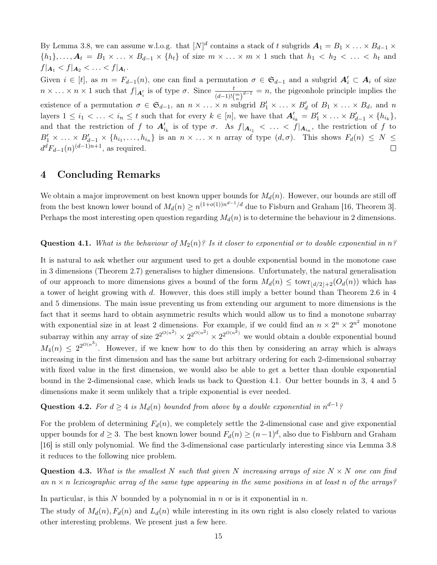By Lemma [3.8,](#page-11-3) we can assume w.l.o.g. that  $[N]^d$  contains a stack of t subgrids  $A_1 = B_1 \times \ldots \times B_{d-1} \times$  ${h_1}, \ldots, A_t = B_1 \times \ldots \times B_{d-1} \times \{h_t\}$  of size  $m \times \ldots \times m \times 1$  such that  $h_1 < h_2 < \ldots < h_t$  and  $f|_{A_1} < f|_{A_2} < \ldots < f|_{A_t}.$ 

Given  $i \in [t]$ , as  $m = F_{d-1}(n)$ , one can find a permutation  $\sigma \in \mathfrak{S}_{d-1}$  and a subgrid  $A'_i \subset A_i$  of size  $n \times ... \times n \times 1$  such that  $f|_{\mathbf{A}'_i}$  is of type  $\sigma$ . Since  $\frac{t}{(d-1)!(\binom{m}{n})^{d-1}} = n$ , the pigeonhole principle implies the existence of a permutation  $\sigma \in \mathfrak{S}_{d-1}$ , an  $n \times \ldots \times n$  subgrid  $B'_1 \times \ldots \times B'_d$  of  $B_1 \times \ldots \times B_d$ , and n layers  $1 \leq i_1 < \ldots < i_n \leq t$  such that for every  $k \in [n]$ , we have that  $\mathbf{A}'_{i_k} = B'_1 \times \ldots \times B'_{d-1} \times \{h_{i_k}\},$ and that the restriction of f to  $A'_{i_k}$  is of type  $\sigma$ . As  $f|_{A_{i_1}} < \ldots < f|_{A_{i_n}}$ , the restriction of f to  $B'_1 \times \ldots \times B'_{d-1} \times \{h_{i_1}, \ldots, h_{i_n}\}\$ is an  $n \times \ldots \times n$  array of type  $(d, \sigma)$ . This shows  $F_d(n) \leq N \leq$  $d^d F_{d-1}(n)$ <sup> $(d-1)n+1$ </sup>, as required.  $\Box$ 

### 4 Concluding Remarks

We obtain a major improvement on best known upper bounds for  $M_d(n)$ . However, our bounds are still off from the best known lower bound of  $M_d(n) \geq n^{(1+o(1))n^{d-1}/d}$  due to Fisburn and Graham [\[16,](#page-17-7) Theorem 3]. Perhaps the most interesting open question regarding  $M_d(n)$  is to determine the behaviour in 2 dimensions.

### <span id="page-14-0"></span>**Question 4.1.** What is the behaviour of  $M_2(n)$ ? Is it closer to exponential or to double exponential in n?

It is natural to ask whether our argument used to get a double exponential bound in the monotone case in 3 dimensions (Theorem [2.7\)](#page-5-0) generalises to higher dimensions. Unfortunately, the natural generalisation of our approach to more dimensions gives a bound of the form  $M_d(n) \leq \text{towr}_{\lfloor d/2 \rfloor+2}(O_d(n))$  which has a tower of height growing with d. However, this does still imply a better bound than Theorem [2.6](#page-5-1) in 4 and 5 dimensions. The main issue preventing us from extending our argument to more dimensions is the fact that it seems hard to obtain asymmetric results which would allow us to find a monotone subarray with exponential size in at least 2 dimensions. For example, if we could find an  $n \times 2^n \times 2^{n^2}$  monotone subarray within any array of size  $2^{2^{O(n^2)}} \times 2^{2^{O(n^2)}} \times 2^{2^{O(n^2)}}$  we would obtain a double exponential bound  $M_4(n) \leq 2^{2^{O(n^3)}}$ . However, if we knew how to do this then by considering an array which is always increasing in the first dimension and has the same but arbitrary ordering for each 2-dimensional subarray with fixed value in the first dimension, we would also be able to get a better than double exponential bound in the 2-dimensional case, which leads us back to Question [4.1.](#page-14-0) Our better bounds in 3, 4 and 5 dimensions make it seem unlikely that a triple exponential is ever needed.

Question 4.2. For  $d \geq 4$  is  $M_d(n)$  bounded from above by a double exponential in  $n^{d-1}$ ?

For the problem of determining  $F_d(n)$ , we completely settle the 2-dimensional case and give exponential upper bounds for  $d \geq 3$ . The best known lower bound  $F_d(n) \geq (n-1)^d$ , also due to Fishburn and Graham [\[16\]](#page-17-7) is still only polynomial. We find the 3-dimensional case particularly interesting since via Lemma [3.8](#page-11-3) it reduces to the following nice problem.

**Question 4.3.** What is the smallest N such that given N increasing arrays of size  $N \times N$  one can find an  $n \times n$  lexicographic array of the same type appearing in the same positions in at least n of the arrays?

In particular, is this N bounded by a polynomial in n or is it exponential in  $n$ .

The study of  $M_d(n)$ ,  $F_d(n)$  and  $L_d(n)$  while interesting in its own right is also closely related to various other interesting problems. We present just a few here.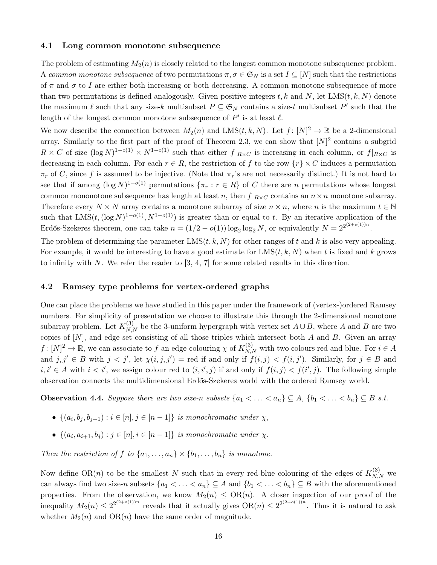#### 4.1 Long common monotone subsequence

The problem of estimating  $M_2(n)$  is closely related to the longest common monotone subsequence problem. A common monotone subsequence of two permutations  $\pi, \sigma \in \mathfrak{S}_N$  is a set  $I \subseteq [N]$  such that the restrictions of  $\pi$  and  $\sigma$  to I are either both increasing or both decreasing. A common monotone subsequence of more than two permutations is defined analogously. Given positive integers t, k and N, let  $LMS(t, k, N)$  denote the maximum  $\ell$  such that any size-k multisubset  $P \subseteq \mathfrak{S}_N$  contains a size-t multisubset  $P'$  such that the length of the longest common monotone subsequence of  $P'$  is at least  $\ell$ .

We now describe the connection between  $M_2(n)$  and  $LMS(t, k, N)$ . Let  $f: [N]^2 \to \mathbb{R}$  be a 2-dimensional array. Similarly to the first part of the proof of Theorem [2.3,](#page-3-3) we can show that  $[N]^2$  contains a subgrid  $R \times C$  of size  $(\log N)^{1-o(1)} \times N^{1-o(1)}$  such that either  $f|_{R \times C}$  is increasing in each column, or  $f|_{R \times C}$  is decreasing in each column. For each  $r \in R$ , the restriction of f to the row  $\{r\} \times C$  induces a permutation  $\pi_r$  of C, since f is assumed to be injective. (Note that  $\pi_r$ 's are not necessarily distinct.) It is not hard to see that if among  $(\log N)^{1-o(1)}$  permutations  $\{\pi_r : r \in R\}$  of C there are n permutations whose longest common mononotone subsequence has length at least n, then  $f|_{R\times C}$  contains an  $n\times n$  monotone subarray. Therefore every  $N \times N$  array contains a monotone subarray of size  $n \times n$ , where n is the maximum  $t \in \mathbb{N}$ such that  $LMS(t, (\log N)^{1-o(1)}, N^{1-o(1)})$  is greater than or equal to t. By an iterative application of the Erdős-Szekeres theorem, one can take  $n = (1/2 - o(1)) \log_2 \log_2 N$ , or equivalently  $N = 2^{2^{(2+o(1))n}}$ .

The problem of determining the parameter  $LMS(t, k, N)$  for other ranges of t and k is also very appealing. For example, it would be interesting to have a good estimate for  $LMS(t, k, N)$  when t is fixed and k grows to infinity with N. We refer the reader to  $[3, 4, 7]$  $[3, 4, 7]$  $[3, 4, 7]$  for some related results in this direction.

#### 4.2 Ramsey type problems for vertex-ordered graphs

One can place the problems we have studied in this paper under the framework of (vertex-)ordered Ramsey numbers. For simplicity of presentation we choose to illustrate this through the 2-dimensional monotone subarray problem. Let  $K_{N,N}^{(3)}$  be the 3-uniform hypergraph with vertex set  $A\cup B$ , where A and B are two copies of [N], and edge set consisting of all those triples which intersect both A and B. Given an array  $f: [N]^2 \to \mathbb{R}$ , we can associate to f an edge-colouring  $\chi$  of  $K_{N,N}^{(3)}$  with two colours red and blue. For  $i \in A$ and  $j, j' \in B$  with  $j < j'$ , let  $\chi(i, j, j') =$  red if and only if  $f(i, j) < f(i, j')$ . Similarly, for  $j \in B$  and  $i, i' \in A$  with  $i < i'$ , we assign colour red to  $(i, i', j)$  if and only if  $f(i, j) < f(i', j)$ . The following simple observation connects the multidimensional Erdős-Szekeres world with the ordered Ramsey world.

**Observation 4.4.** Suppose there are two size-n subsets  $\{a_1 < \ldots < a_n\} \subseteq A$ ,  $\{b_1 < \ldots < b_n\} \subseteq B$  s.t.

- $\{(a_i, b_j, b_{j+1}) : i \in [n], j \in [n-1]\}$  is monochromatic under  $\chi$ ,
- $\{(a_i, a_{i+1}, b_j) : j \in [n], i \in [n-1]\}$  is monochromatic under  $\chi$ .

Then the restriction of f to  $\{a_1, \ldots, a_n\} \times \{b_1, \ldots, b_n\}$  is monotone.

Now define OR(n) to be the smallest N such that in every red-blue colouring of the edges of  $K_{N,N}^{(3)}$  we can always find two size-n subsets  $\{a_1 < \ldots < a_n\} \subseteq A$  and  $\{b_1 < \ldots < b_n\} \subseteq B$  with the aforementioned properties. From the observation, we know  $M_2(n) \leq OR(n)$ . A closer inspection of our proof of the inequality  $M_2(n) \leq 2^{2^{(2+o(1))n}}$  reveals that it actually gives  $\text{OR}(n) \leq 2^{2^{(2+o(1))n}}$ . Thus it is natural to ask whether  $M_2(n)$  and  $OR(n)$  have the same order of magnitude.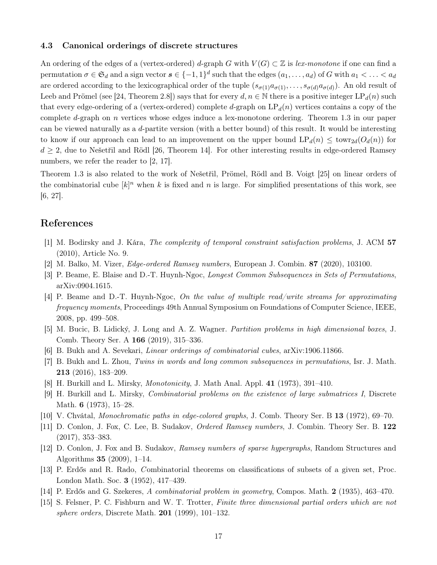#### 4.3 Canonical orderings of discrete structures

An ordering of the edges of a (vertex-ordered) d-graph G with  $V(G) \subset \mathbb{Z}$  is lex-monotone if one can find a permutation  $\sigma \in \mathfrak{S}_d$  and a sign vector  $s \in \{-1,1\}^d$  such that the edges  $(a_1,\ldots,a_d)$  of G with  $a_1 < \ldots < a_d$ are ordered according to the lexicographical order of the tuple  $(s_{\sigma(1)}a_{\sigma(1)},\ldots,s_{\sigma(d)}a_{\sigma(d)})$ . An old result of Leeb and Prömel (see [\[24,](#page-17-10) Theorem 2.8]) says that for every  $d, n \in \mathbb{N}$  there is a positive integer LP<sub>d</sub>(n) such that every edge-ordering of a (vertex-ordered) complete d-graph on  $\mathrm{LP}_d(n)$  vertices contains a copy of the complete d-graph on n vertices whose edges induce a lex-monotone ordering. Theorem [1.3](#page-2-1) in our paper can be viewed naturally as a d-partite version (with a better bound) of this result. It would be interesting to know if our approach can lead to an improvement on the upper bound  $LP_d(n) \leq \text{towr}_{2d}(O_d(n))$  for  $d \geq 2$ , due to Nešetřil and Rödl [\[26,](#page-17-11) Theorem 14]. For other interesting results in edge-ordered Ramsey numbers, we refer the reader to [\[2,](#page-16-13) [17\]](#page-17-12).

Theorem [1.3](#page-2-1) is also related to the work of Nešetřil, Prömel, Rödl and B. Voigt [\[25\]](#page-17-13) on linear orders of the combinatorial cube  $[k]^n$  when k is fixed and n is large. For simplified presentations of this work, see [\[6,](#page-16-14) [27\]](#page-17-14).

## References

- <span id="page-16-4"></span>[1] M. Bodirsky and J. Kára, The complexity of temporal constraint satisfaction problems, J. ACM 57 (2010), Article No. 9.
- <span id="page-16-13"></span>[2] M. Balko, M. Vizer, Edge-ordered Ramsey numbers, European J. Combin. 87 (2020), 103100.
- <span id="page-16-10"></span>[3] P. Beame, E. Blaise and D.-T. Huynh-Ngoc, Longest Common Subsequences in Sets of Permutations, arXiv:0904.1615.
- <span id="page-16-11"></span>[4] P. Beame and D.-T. Huynh-Ngoc, On the value of multiple read/write streams for approximating frequency moments, Proceedings 49th Annual Symposium on Foundations of Computer Science, IEEE, 2008, pp. 499–508.
- <span id="page-16-9"></span>[5] M. Bucic, B. Lidický, J. Long and A. Z. Wagner. Partition problems in high dimensional boxes, J. Comb. Theory Ser. A 166 (2019), 315–336.
- <span id="page-16-14"></span><span id="page-16-12"></span>[6] B. Bukh and A. Sevekari, Linear orderings of combinatorial cubes, arXiv:1906.11866.
- [7] B. Bukh and L. Zhou, Twins in words and long common subsequences in permutations, Isr. J. Math. 213 (2016), 183–209.
- <span id="page-16-1"></span>[8] H. Burkill and L. Mirsky, Monotonicity, J. Math Anal. Appl. 41 (1973), 391–410.
- <span id="page-16-2"></span>[9] H. Burkill and L. Mirsky, Combinatorial problems on the existence of large submatrices I, Discrete Math. 6 (1973), 15–28.
- <span id="page-16-8"></span><span id="page-16-7"></span>[10] V. Chvátal, Monochromatic paths in edge-colored graphs, J. Comb. Theory Ser. B 13 (1972), 69–70.
- [11] D. Conlon, J. Fox, C. Lee, B. Sudakov, Ordered Ramsey numbers, J. Combin. Theory Ser. B. 122 (2017), 353–383.
- <span id="page-16-5"></span>[12] D. Conlon, J. Fox and B. Sudakov, Ramsey numbers of sparse hypergraphs, Random Structures and Algorithms 35 (2009), 1–14.
- <span id="page-16-6"></span>[13] P. Erdős and R. Rado, Combinatorial theorems on classifications of subsets of a given set, Proc. London Math. Soc. 3 (1952), 417–439.
- <span id="page-16-3"></span><span id="page-16-0"></span>[14] P. Erdős and G. Szekeres, A combinatorial problem in geometry, Compos. Math. 2 (1935), 463–470.
- [15] S. Felsner, P. C. Fishburn and W. T. Trotter, Finite three dimensional partial orders which are not sphere orders, Discrete Math.  $201$  (1999), 101–132.